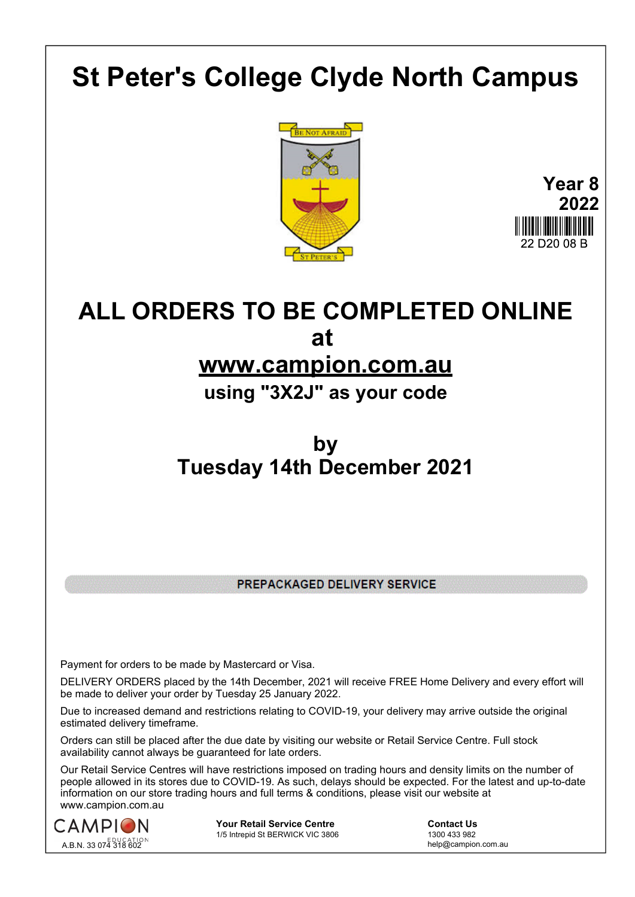## **St Peter's College Clyde North Campus**





## **ALL ORDERS TO BE COMPLETED ONLINE at**

## **www.campion.com.au**

**using "3X2J" as your code**

## **by Tuesday 14th December 2021**

PREPACKAGED DELIVERY SERVICE

Payment for orders to be made by Mastercard or Visa.

DELIVERY ORDERS placed by the 14th December, 2021 will receive FREE Home Delivery and every effort will be made to deliver your order by Tuesday 25 January 2022.

Due to increased demand and restrictions relating to COVID-19, your delivery may arrive outside the original estimated delivery timeframe.

Orders can still be placed after the due date by visiting our website or Retail Service Centre. Full stock availability cannot always be guaranteed for late orders.

Our Retail Service Centres will have restrictions imposed on trading hours and density limits on the number of people allowed in its stores due to COVID-19. As such, delays should be expected. For the latest and up-to-date information on our store trading hours and full terms & conditions, please visit our website at www.campion.com.au



**Your Retail Service Centre** <br>
1/5 Intrepid St BERWICK VIC 3806<br>
1300 433 982 1/5 Intrepid St BERWICK VIC 3806

help@campion.com.au